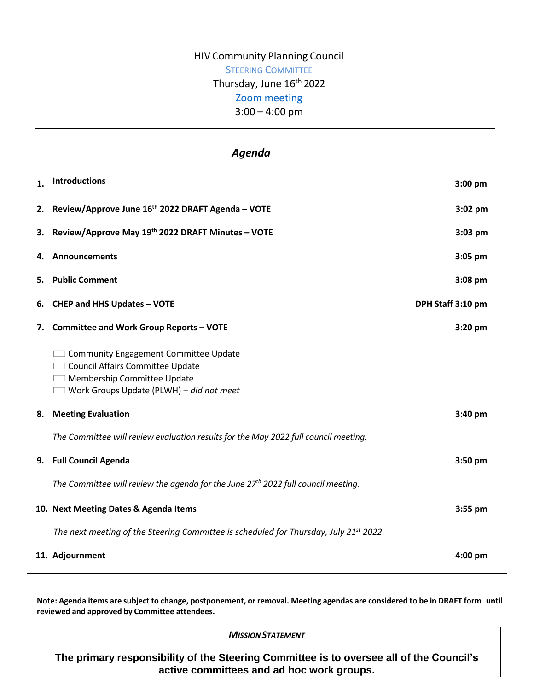# HIV Community Planning Council STEERING COMMITTEE Thursday, June 16<sup>th</sup> 2022 [Zoom meeting](https://us02web.zoom.us/j/83596453999?pwd=a1RQNG9pNkZoMitwQXBQcERJSEsydz09) 3:00 – 4:00 pm

## *Agenda*

| $\mathbf{1}$ . | Introductions                                                                                                                                                        | 3:00 pm           |
|----------------|----------------------------------------------------------------------------------------------------------------------------------------------------------------------|-------------------|
|                | 2. Review/Approve June 16th 2022 DRAFT Agenda - VOTE                                                                                                                 | $3:02$ pm         |
| з.             | Review/Approve May 19th 2022 DRAFT Minutes - VOTE                                                                                                                    | $3:03$ pm         |
| 4.             | <b>Announcements</b>                                                                                                                                                 | 3:05 pm           |
| 5.             | <b>Public Comment</b>                                                                                                                                                | $3:08$ pm         |
| 6.             | <b>CHEP and HHS Updates - VOTE</b>                                                                                                                                   | DPH Staff 3:10 pm |
| 7.             | <b>Committee and Work Group Reports - VOTE</b>                                                                                                                       | $3:20$ pm         |
|                | <b>Community Engagement Committee Update</b><br>□ Council Affairs Committee Update<br>Membership Committee Update<br>$\Box$ Work Groups Update (PLWH) – did not meet |                   |
| 8.             | <b>Meeting Evaluation</b>                                                                                                                                            | $3:40$ pm         |
|                | The Committee will review evaluation results for the May 2022 full council meeting.                                                                                  |                   |
|                | 9. Full Council Agenda                                                                                                                                               | $3:50$ pm         |
|                | The Committee will review the agenda for the June 27 <sup>th</sup> 2022 full council meeting.                                                                        |                   |
|                | 10. Next Meeting Dates & Agenda Items                                                                                                                                | $3:55$ pm         |
|                | The next meeting of the Steering Committee is scheduled for Thursday, July 21 <sup>st</sup> 2022.                                                                    |                   |
|                | 11. Adjournment                                                                                                                                                      | 4:00 pm           |

Note: Agenda items are subject to change, postponement, or removal. Meeting agendas are considered to be in DRAFT form until **reviewed and approved by Committee attendees.**

*MISSIONSTATEMENT*

**The primary responsibility of the Steering Committee is to oversee all of the Council's active committees and ad hoc work groups.**